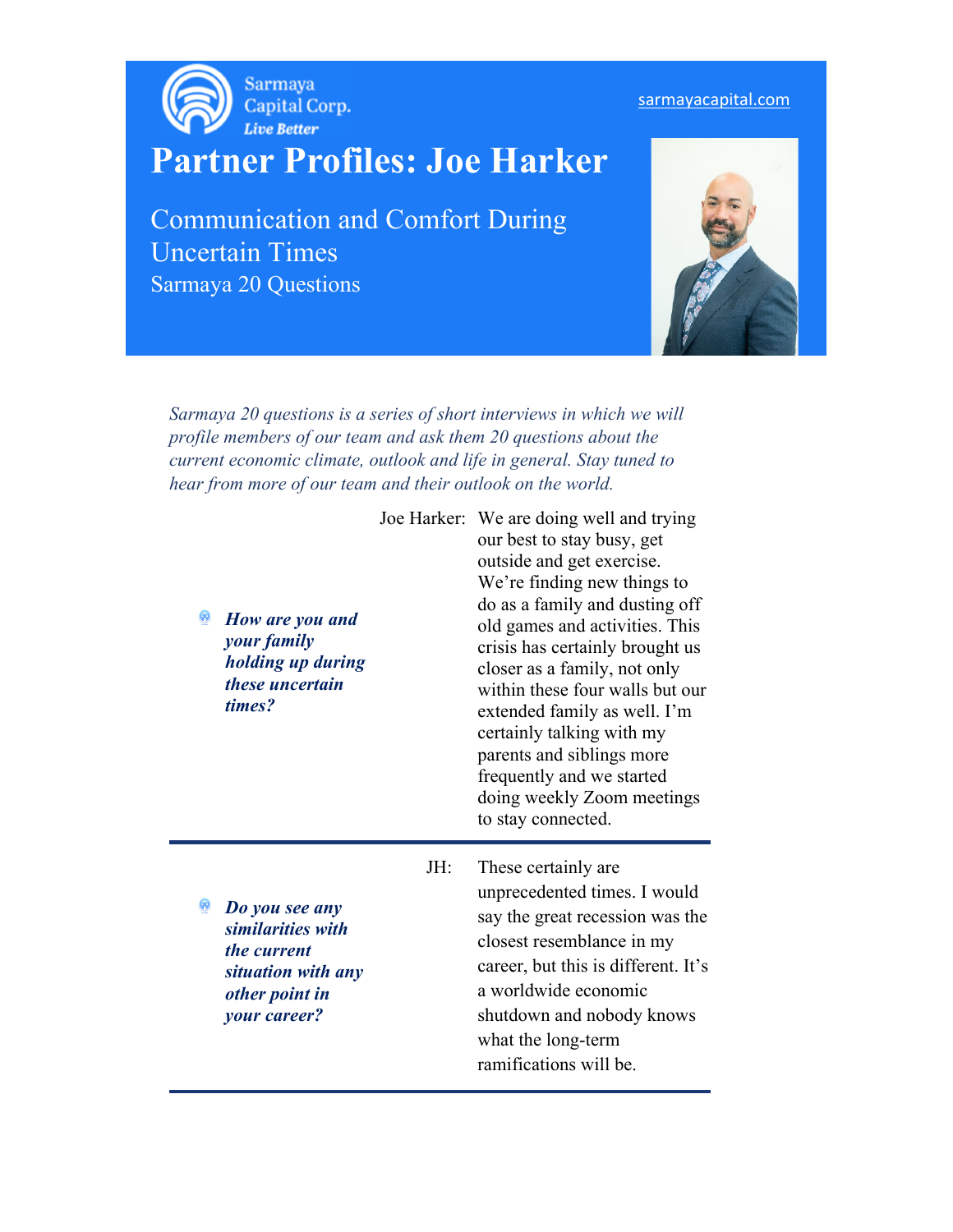

## **Partner Profiles: Joe Harker**

Communication and Comfort During Uncertain Times Sarmaya 20 Questions



*Sarmaya 20 questions is a series of short interviews in which we will profile members of our team and ask them 20 questions about the current economic climate, outlook and life in general. Stay tuned to hear from more of our team and their outlook on the world.* 

> Joe Harker: We are doing well and trying our best to stay busy, get outside and get exercise. We're finding new things to do as a family and dusting off old games and activities. This crisis has certainly brought us closer as a family, not only within these four walls but our extended family as well. I'm certainly talking with my parents and siblings more frequently and we started doing weekly Zoom meetings to stay connected.

*Do you see any similarities with the current situation with any other point in your career?* 

*How are you and your family* 

*holding up during these uncertain* 

*times?* 

 JH: These certainly are unprecedented times. I would say the great recession was the closest resemblance in my career, but this is different. It's a worldwide economic shutdown and nobody knows what the long-term ramifications will be.

## sarmayacapital.com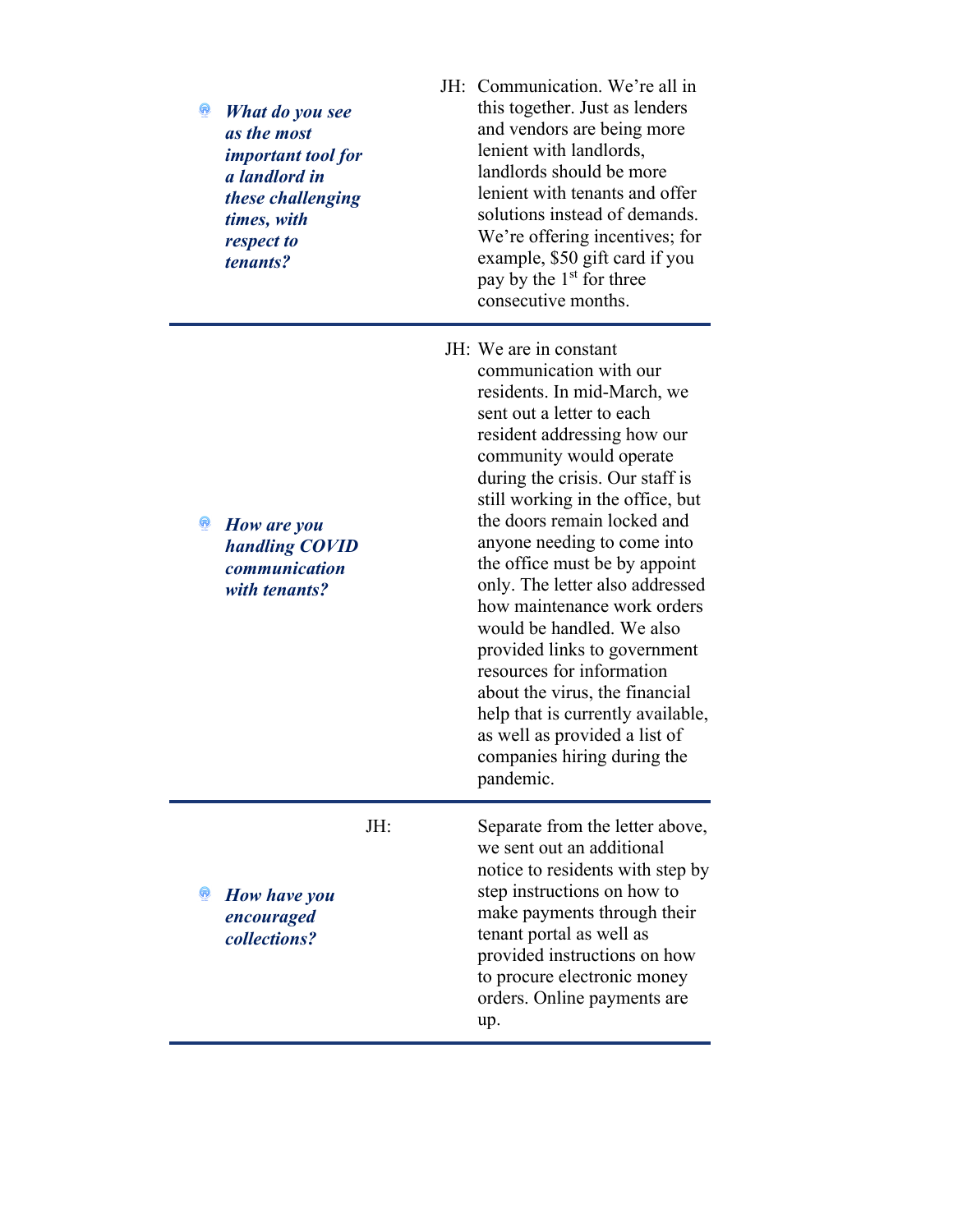| Q | What do you see<br>as the most<br><i>important tool for</i><br>a landlord in<br>these challenging<br>times, with<br>respect to<br><i>tenants?</i> | JH: Communication. We're all in<br>this together. Just as lenders<br>and vendors are being more<br>lenient with landlords,<br>landlords should be more<br>lenient with tenants and offer<br>solutions instead of demands.<br>We're offering incentives; for<br>example, \$50 gift card if you<br>pay by the 1 <sup>st</sup> for three<br>consecutive months.                                                                                                                                                                                                                                                                                                 |
|---|---------------------------------------------------------------------------------------------------------------------------------------------------|--------------------------------------------------------------------------------------------------------------------------------------------------------------------------------------------------------------------------------------------------------------------------------------------------------------------------------------------------------------------------------------------------------------------------------------------------------------------------------------------------------------------------------------------------------------------------------------------------------------------------------------------------------------|
| Q | How are you<br>handling COVID<br>communication<br>with tenants?                                                                                   | JH: We are in constant<br>communication with our<br>residents. In mid-March, we<br>sent out a letter to each<br>resident addressing how our<br>community would operate<br>during the crisis. Our staff is<br>still working in the office, but<br>the doors remain locked and<br>anyone needing to come into<br>the office must be by appoint<br>only. The letter also addressed<br>how maintenance work orders<br>would be handled. We also<br>provided links to government<br>resources for information<br>about the virus, the financial<br>help that is currently available,<br>as well as provided a list of<br>companies hiring during the<br>pandemic. |
|   | JH:<br><b>How have you</b><br>encouraged<br>collections?                                                                                          | Separate from the letter above,<br>we sent out an additional<br>notice to residents with step by<br>step instructions on how to<br>make payments through their<br>tenant portal as well as<br>provided instructions on how<br>to procure electronic money<br>orders. Online payments are<br>up.                                                                                                                                                                                                                                                                                                                                                              |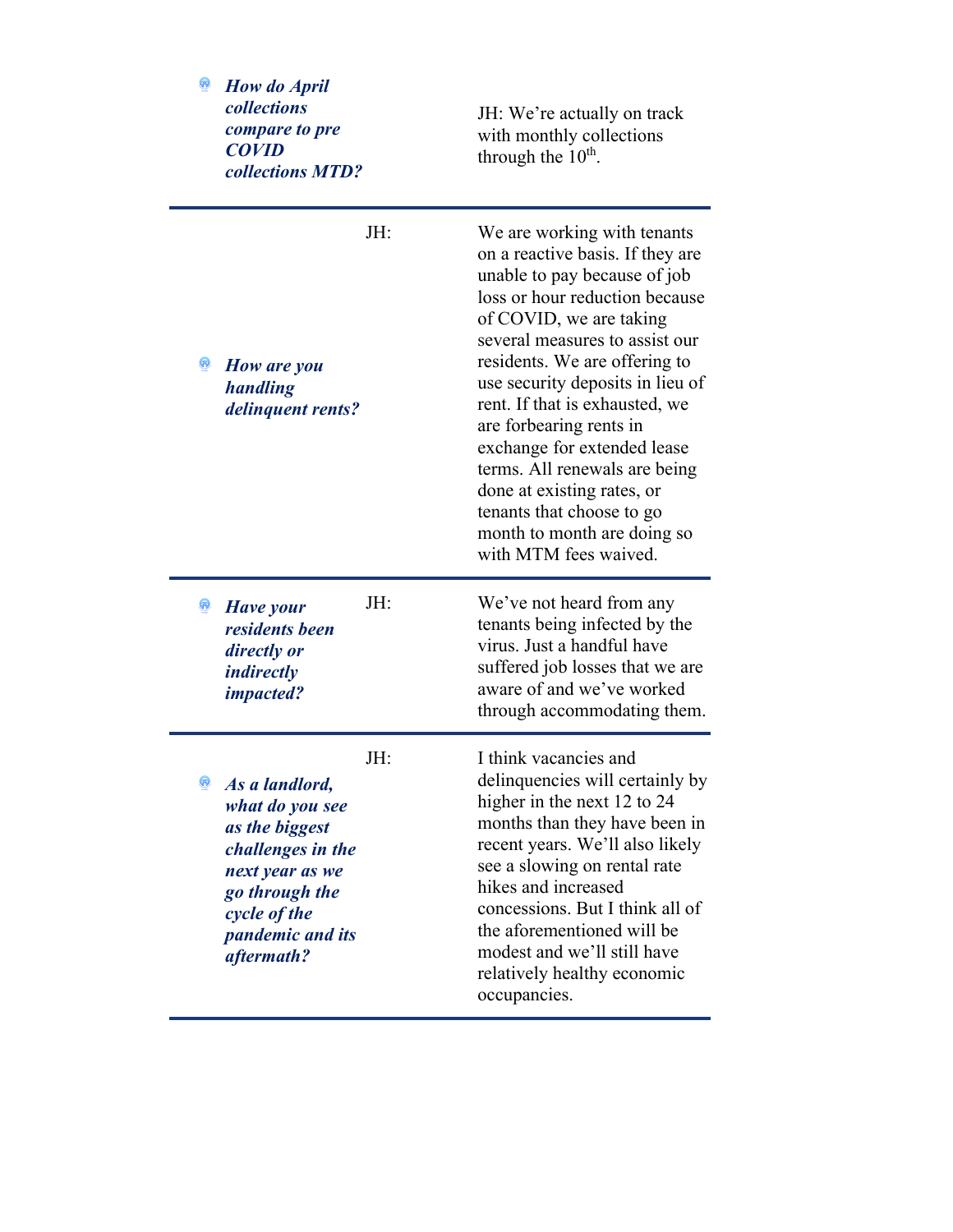| How do April<br>collections<br>compare to pre<br><b>COVID</b><br>collections MTD?                                                                                                  | JH: We're actually on track<br>with monthly collections<br>through the $10^{\text{th}}$ .                                                                                                                                                                                                                                                                                                                                                                                                                           |
|------------------------------------------------------------------------------------------------------------------------------------------------------------------------------------|---------------------------------------------------------------------------------------------------------------------------------------------------------------------------------------------------------------------------------------------------------------------------------------------------------------------------------------------------------------------------------------------------------------------------------------------------------------------------------------------------------------------|
| JH:<br>Q<br>How are you<br>handling<br>delinquent rents?                                                                                                                           | We are working with tenants<br>on a reactive basis. If they are<br>unable to pay because of job<br>loss or hour reduction because<br>of COVID, we are taking<br>several measures to assist our<br>residents. We are offering to<br>use security deposits in lieu of<br>rent. If that is exhausted, we<br>are forbearing rents in<br>exchange for extended lease<br>terms. All renewals are being<br>done at existing rates, or<br>tenants that choose to go<br>month to month are doing so<br>with MTM fees waived. |
| JH:<br>Have your<br>residents been<br>directly or<br><i>indirectly</i><br><i>impacted?</i>                                                                                         | We've not heard from any<br>tenants being infected by the<br>virus. Just a handful have<br>suffered job losses that we are<br>aware of and we've worked<br>through accommodating them.                                                                                                                                                                                                                                                                                                                              |
| JH:<br>Q<br>As a landlord,<br>what do you see<br>as the biggest<br>challenges in the<br>next year as we<br>go through the<br>cycle of the<br><i>pandemic and its</i><br>aftermath? | I think vacancies and<br>delinquencies will certainly by<br>higher in the next 12 to 24<br>months than they have been in<br>recent years. We'll also likely<br>see a slowing on rental rate<br>hikes and increased<br>concessions. But I think all of<br>the aforementioned will be<br>modest and we'll still have<br>relatively healthy economic<br>occupancies.                                                                                                                                                   |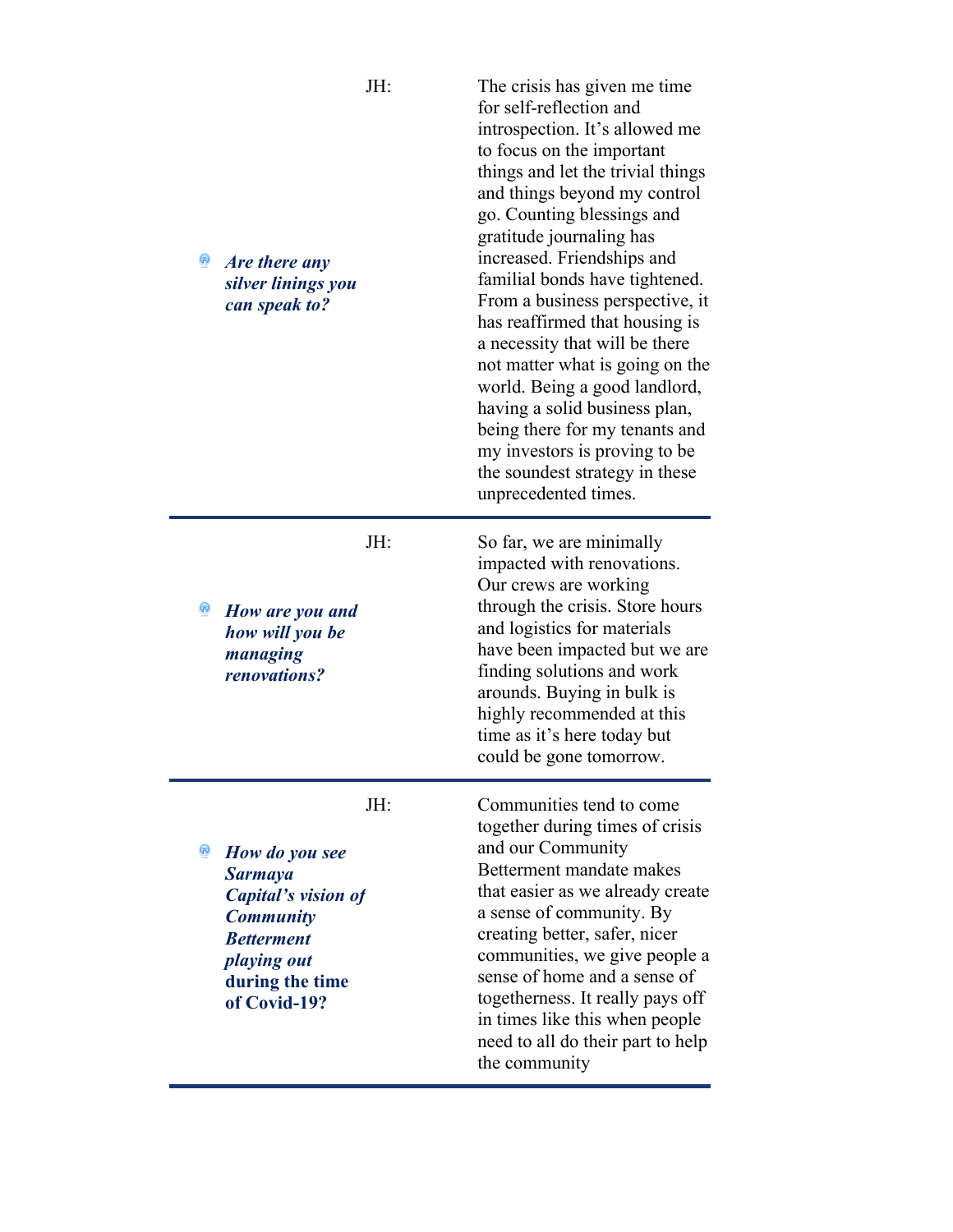| Are there any<br>silver linings you<br>can speak to?                                                                                               | JH: | The crisis has given me time<br>for self-reflection and<br>introspection. It's allowed me<br>to focus on the important<br>things and let the trivial things<br>and things beyond my control<br>go. Counting blessings and<br>gratitude journaling has<br>increased. Friendships and<br>familial bonds have tightened.<br>From a business perspective, it<br>has reaffirmed that housing is<br>a necessity that will be there<br>not matter what is going on the<br>world. Being a good landlord,<br>having a solid business plan,<br>being there for my tenants and<br>my investors is proving to be<br>the soundest strategy in these<br>unprecedented times. |
|----------------------------------------------------------------------------------------------------------------------------------------------------|-----|----------------------------------------------------------------------------------------------------------------------------------------------------------------------------------------------------------------------------------------------------------------------------------------------------------------------------------------------------------------------------------------------------------------------------------------------------------------------------------------------------------------------------------------------------------------------------------------------------------------------------------------------------------------|
| How are you and<br>how will you be<br>managing<br>renovations?                                                                                     | JH: | So far, we are minimally<br>impacted with renovations.<br>Our crews are working<br>through the crisis. Store hours<br>and logistics for materials<br>have been impacted but we are<br>finding solutions and work<br>arounds. Buying in bulk is<br>highly recommended at this<br>time as it's here today but<br>could be gone tomorrow.                                                                                                                                                                                                                                                                                                                         |
| How do you see<br><b>Sarmaya</b><br>Capital's vision of<br><b>Community</b><br><b>Betterment</b><br>playing out<br>during the time<br>of Covid-19? | JH: | Communities tend to come<br>together during times of crisis<br>and our Community<br>Betterment mandate makes<br>that easier as we already create<br>a sense of community. By<br>creating better, safer, nicer<br>communities, we give people a<br>sense of home and a sense of<br>togetherness. It really pays off<br>in times like this when people<br>need to all do their part to help<br>the community                                                                                                                                                                                                                                                     |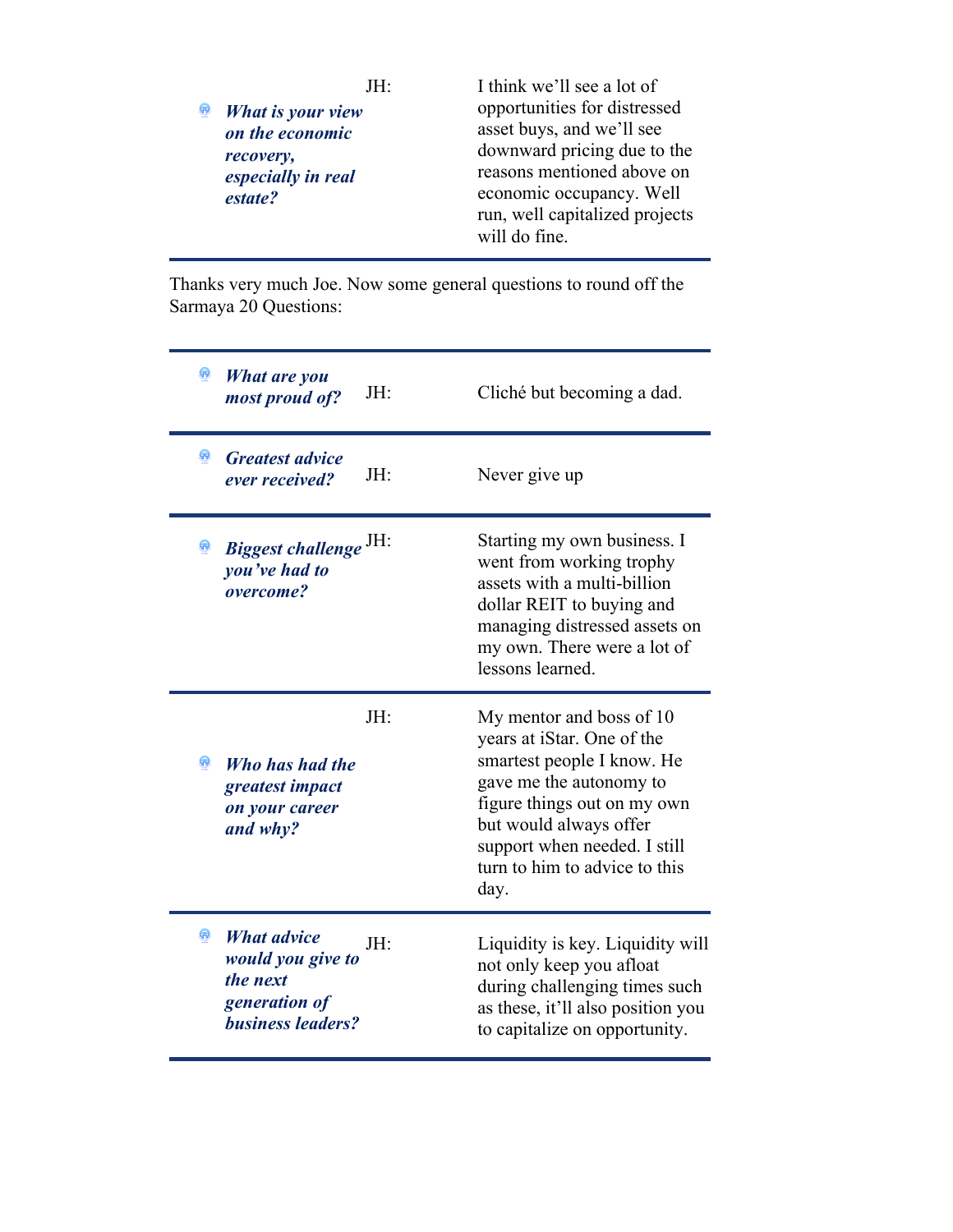|  | JH:                | I think we'll see a lot of     |
|--|--------------------|--------------------------------|
|  | What is your view  | opportunities for distressed   |
|  | on the economic    | asset buys, and we'll see      |
|  | recovery,          | downward pricing due to the    |
|  | especially in real | reasons mentioned above on     |
|  | estate?            | economic occupancy. Well       |
|  |                    | run, well capitalized projects |
|  |                    | will do fine.                  |

Thanks very much Joe. Now some general questions to round off the Sarmaya 20 Questions:

| What are you<br>JH:<br>most proud of?                                                                   | Cliché but becoming a dad.                                                                                                                                                                                                                        |
|---------------------------------------------------------------------------------------------------------|---------------------------------------------------------------------------------------------------------------------------------------------------------------------------------------------------------------------------------------------------|
| Q<br><b>Greatest advice</b><br>JH:<br>ever received?                                                    | Never give up                                                                                                                                                                                                                                     |
| Biggest challenge <sup>JH:</sup><br>Q<br>you've had to<br>overcome?                                     | Starting my own business. I<br>went from working trophy<br>assets with a multi-billion<br>dollar REIT to buying and<br>managing distressed assets on<br>my own. There were a lot of<br>lessons learned.                                           |
| JH:<br>Who has had the<br>greatest impact<br>on your career<br>and why?                                 | My mentor and boss of 10<br>years at iStar. One of the<br>smartest people I know. He<br>gave me the autonomy to<br>figure things out on my own<br>but would always offer<br>support when needed. I still<br>turn to him to advice to this<br>day. |
| <b>What advice</b><br>JH:<br>would you give to<br>the next<br>generation of<br><b>business leaders?</b> | Liquidity is key. Liquidity will<br>not only keep you afloat<br>during challenging times such<br>as these, it'll also position you<br>to capitalize on opportunity.                                                                               |